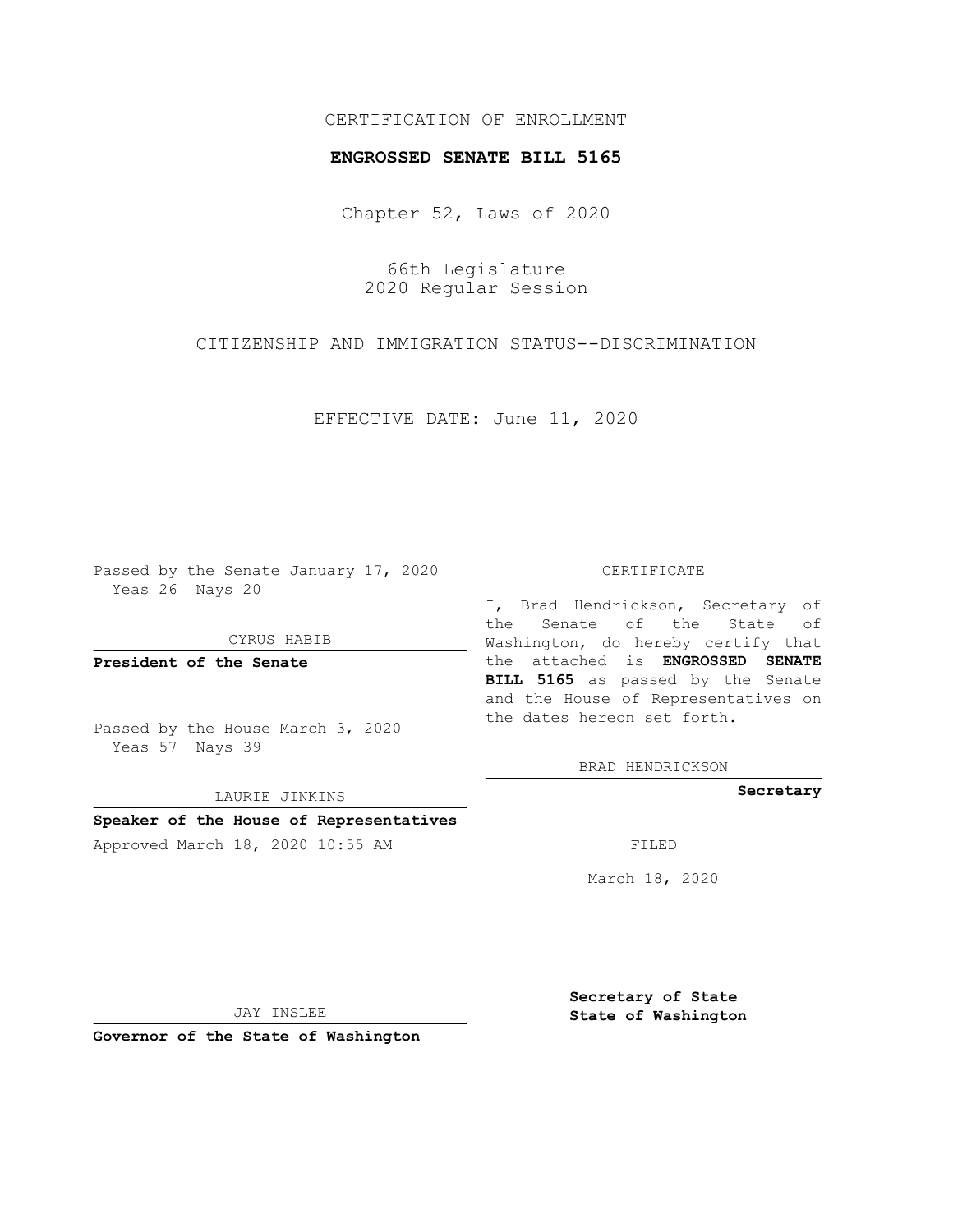# CERTIFICATION OF ENROLLMENT

#### **ENGROSSED SENATE BILL 5165**

Chapter 52, Laws of 2020

66th Legislature 2020 Regular Session

CITIZENSHIP AND IMMIGRATION STATUS--DISCRIMINATION

EFFECTIVE DATE: June 11, 2020

Passed by the Senate January 17, 2020 Yeas 26 Nays 20

CYRUS HABIB

**President of the Senate**

Passed by the House March 3, 2020 Yeas 57 Nays 39

LAURIE JINKINS

# **Speaker of the House of Representatives**

Approved March 18, 2020 10:55 AM FILED

#### CERTIFICATE

I, Brad Hendrickson, Secretary of the Senate of the State of Washington, do hereby certify that the attached is **ENGROSSED SENATE BILL 5165** as passed by the Senate and the House of Representatives on the dates hereon set forth.

BRAD HENDRICKSON

**Secretary**

March 18, 2020

JAY INSLEE

**Governor of the State of Washington**

**Secretary of State State of Washington**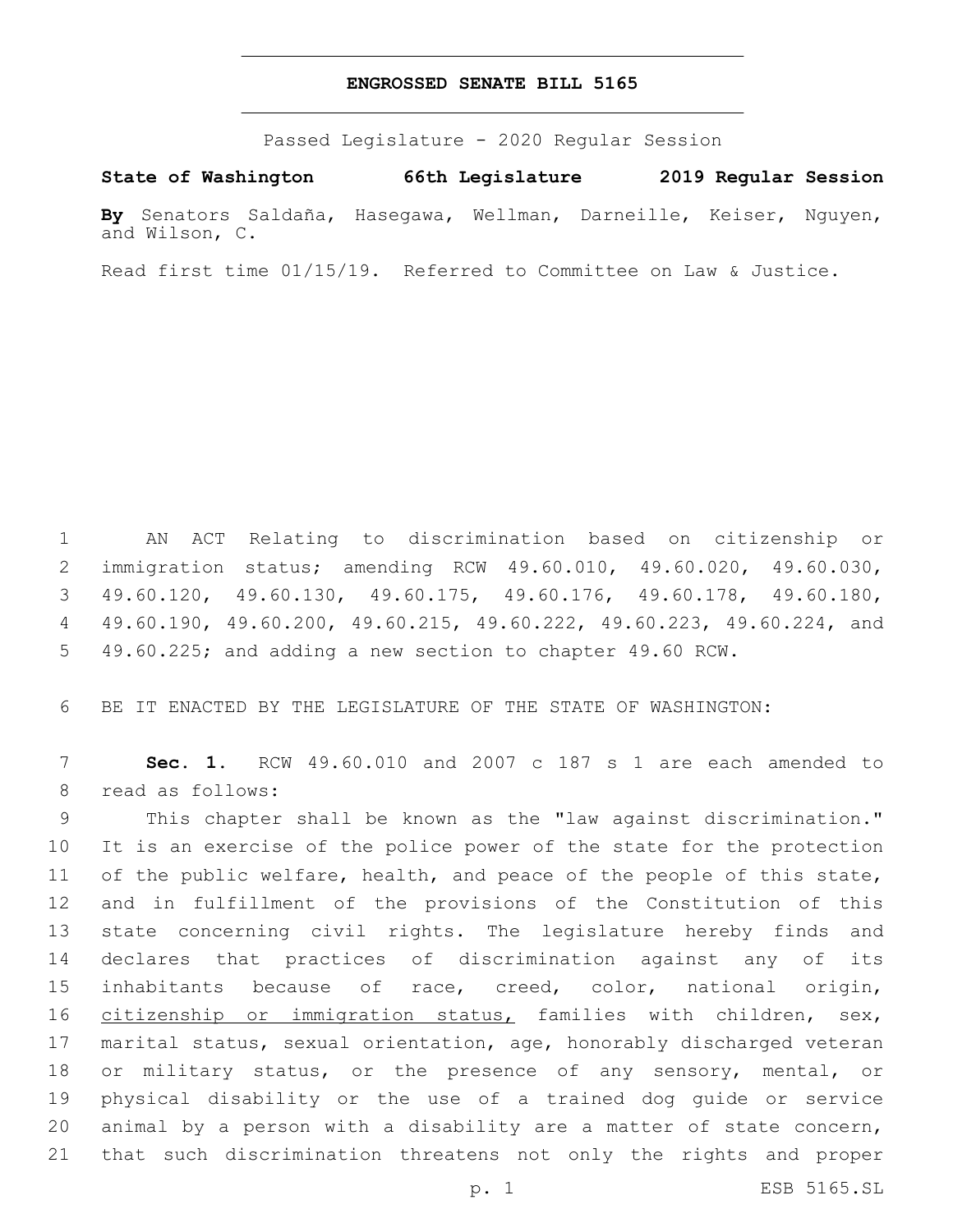### **ENGROSSED SENATE BILL 5165**

Passed Legislature - 2020 Regular Session

**State of Washington 66th Legislature 2019 Regular Session**

**By** Senators Saldaña, Hasegawa, Wellman, Darneille, Keiser, Nguyen, and Wilson, C.

Read first time 01/15/19. Referred to Committee on Law & Justice.

 AN ACT Relating to discrimination based on citizenship or immigration status; amending RCW 49.60.010, 49.60.020, 49.60.030, 49.60.120, 49.60.130, 49.60.175, 49.60.176, 49.60.178, 49.60.180, 49.60.190, 49.60.200, 49.60.215, 49.60.222, 49.60.223, 49.60.224, and 49.60.225; and adding a new section to chapter 49.60 RCW.

BE IT ENACTED BY THE LEGISLATURE OF THE STATE OF WASHINGTON:

 **Sec. 1.** RCW 49.60.010 and 2007 c 187 s 1 are each amended to 8 read as follows:

 This chapter shall be known as the "law against discrimination." It is an exercise of the police power of the state for the protection 11 of the public welfare, health, and peace of the people of this state, and in fulfillment of the provisions of the Constitution of this state concerning civil rights. The legislature hereby finds and declares that practices of discrimination against any of its inhabitants because of race, creed, color, national origin, 16 citizenship or immigration status, families with children, sex, marital status, sexual orientation, age, honorably discharged veteran or military status, or the presence of any sensory, mental, or physical disability or the use of a trained dog guide or service animal by a person with a disability are a matter of state concern, that such discrimination threatens not only the rights and proper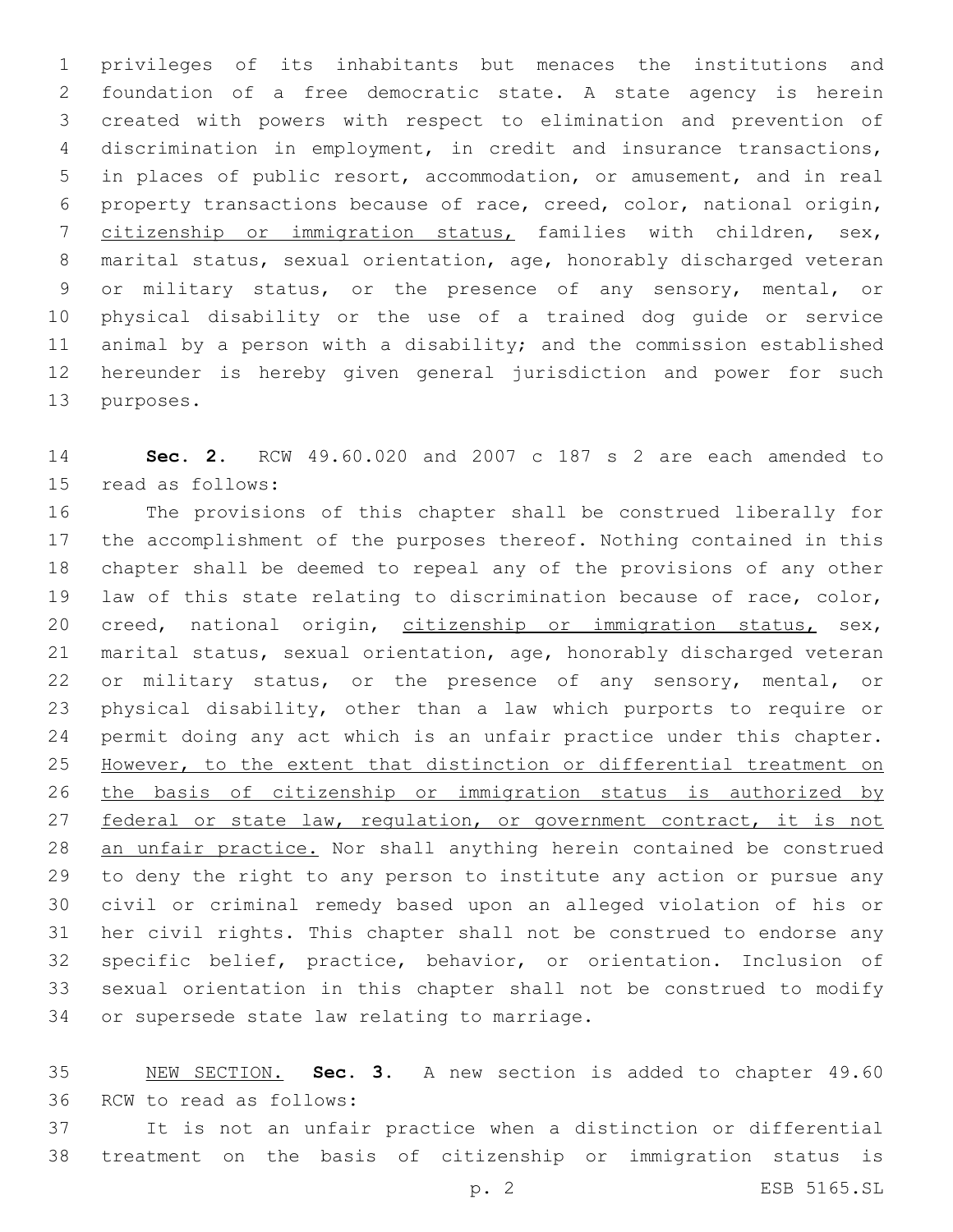privileges of its inhabitants but menaces the institutions and foundation of a free democratic state. A state agency is herein created with powers with respect to elimination and prevention of discrimination in employment, in credit and insurance transactions, in places of public resort, accommodation, or amusement, and in real property transactions because of race, creed, color, national origin, citizenship or immigration status, families with children, sex, marital status, sexual orientation, age, honorably discharged veteran or military status, or the presence of any sensory, mental, or physical disability or the use of a trained dog guide or service animal by a person with a disability; and the commission established hereunder is hereby given general jurisdiction and power for such 13 purposes.

 **Sec. 2.** RCW 49.60.020 and 2007 c 187 s 2 are each amended to 15 read as follows:

 The provisions of this chapter shall be construed liberally for the accomplishment of the purposes thereof. Nothing contained in this chapter shall be deemed to repeal any of the provisions of any other law of this state relating to discrimination because of race, color, 20 creed, national origin, citizenship or immigration status, sex, marital status, sexual orientation, age, honorably discharged veteran or military status, or the presence of any sensory, mental, or physical disability, other than a law which purports to require or permit doing any act which is an unfair practice under this chapter. However, to the extent that distinction or differential treatment on the basis of citizenship or immigration status is authorized by 27 federal or state law, regulation, or government contract, it is not an unfair practice. Nor shall anything herein contained be construed to deny the right to any person to institute any action or pursue any civil or criminal remedy based upon an alleged violation of his or her civil rights. This chapter shall not be construed to endorse any specific belief, practice, behavior, or orientation. Inclusion of sexual orientation in this chapter shall not be construed to modify 34 or supersede state law relating to marriage.

 NEW SECTION. **Sec. 3.** A new section is added to chapter 49.60 36 RCW to read as follows:

 It is not an unfair practice when a distinction or differential treatment on the basis of citizenship or immigration status is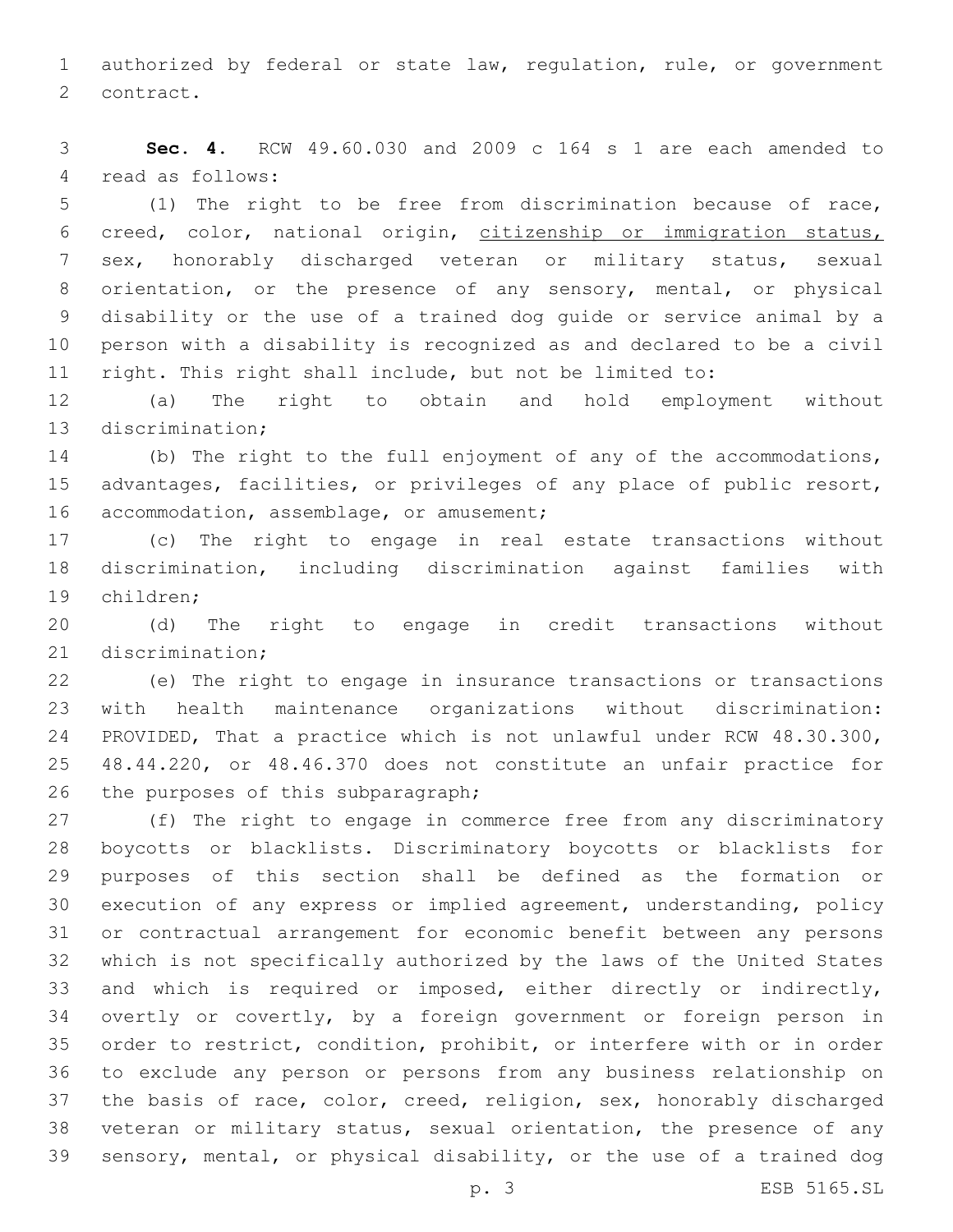authorized by federal or state law, regulation, rule, or government 2 contract.

 **Sec. 4.** RCW 49.60.030 and 2009 c 164 s 1 are each amended to 4 read as follows:

 (1) The right to be free from discrimination because of race, creed, color, national origin, citizenship or immigration status, sex, honorably discharged veteran or military status, sexual orientation, or the presence of any sensory, mental, or physical disability or the use of a trained dog guide or service animal by a person with a disability is recognized as and declared to be a civil right. This right shall include, but not be limited to:

 (a) The right to obtain and hold employment without 13 discrimination;

 (b) The right to the full enjoyment of any of the accommodations, advantages, facilities, or privileges of any place of public resort, 16 accommodation, assemblage, or amusement;

 (c) The right to engage in real estate transactions without discrimination, including discrimination against families with 19 children;

 (d) The right to engage in credit transactions without 21 discrimination:

 (e) The right to engage in insurance transactions or transactions with health maintenance organizations without discrimination: PROVIDED, That a practice which is not unlawful under RCW 48.30.300, 48.44.220, or 48.46.370 does not constitute an unfair practice for 26 the purposes of this subparagraph;

 (f) The right to engage in commerce free from any discriminatory boycotts or blacklists. Discriminatory boycotts or blacklists for purposes of this section shall be defined as the formation or execution of any express or implied agreement, understanding, policy or contractual arrangement for economic benefit between any persons which is not specifically authorized by the laws of the United States and which is required or imposed, either directly or indirectly, overtly or covertly, by a foreign government or foreign person in order to restrict, condition, prohibit, or interfere with or in order to exclude any person or persons from any business relationship on the basis of race, color, creed, religion, sex, honorably discharged veteran or military status, sexual orientation, the presence of any sensory, mental, or physical disability, or the use of a trained dog

p. 3 ESB 5165.SL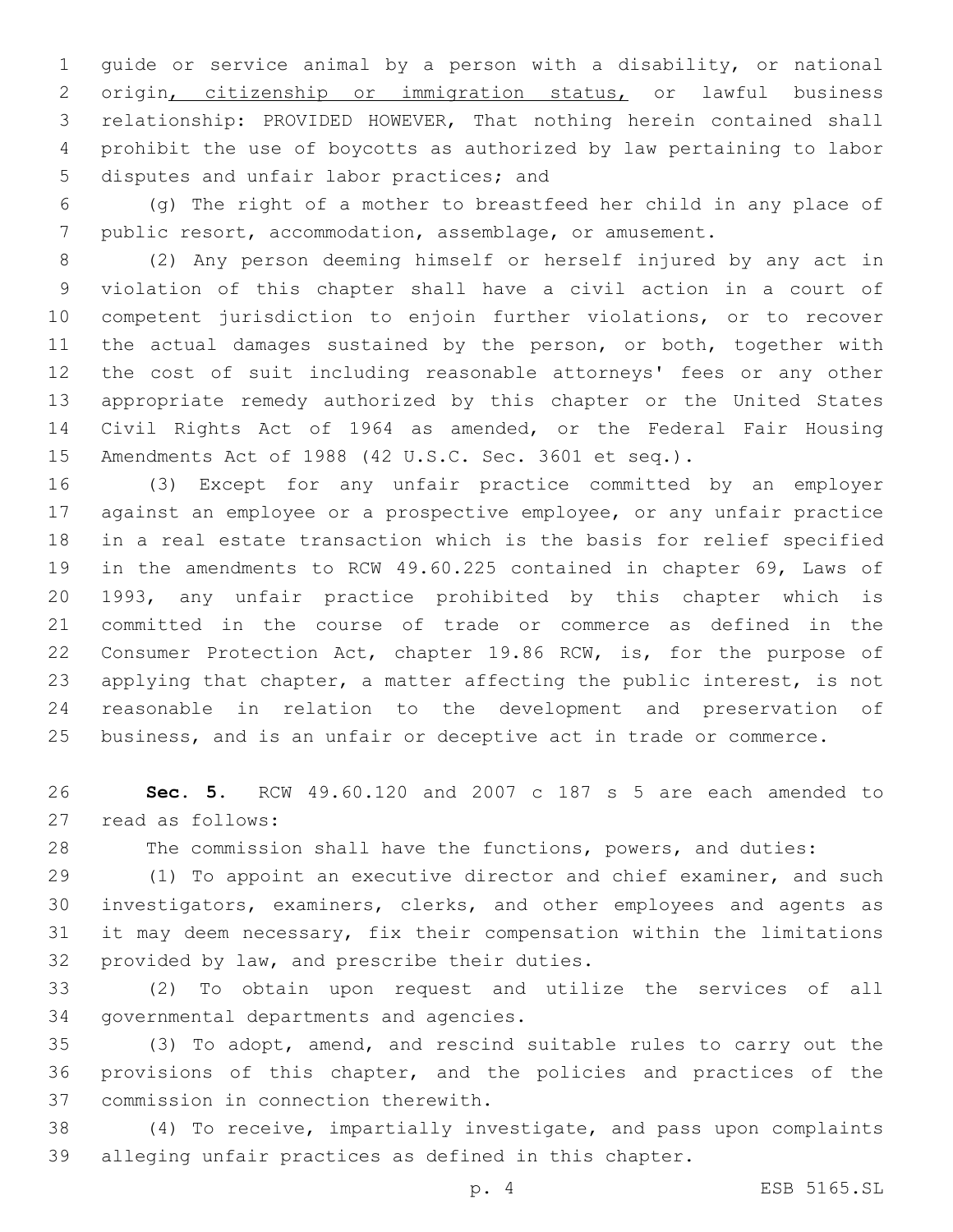guide or service animal by a person with a disability, or national origin, citizenship or immigration status, or lawful business relationship: PROVIDED HOWEVER, That nothing herein contained shall prohibit the use of boycotts as authorized by law pertaining to labor 5 disputes and unfair labor practices; and

 (g) The right of a mother to breastfeed her child in any place of public resort, accommodation, assemblage, or amusement.

 (2) Any person deeming himself or herself injured by any act in violation of this chapter shall have a civil action in a court of competent jurisdiction to enjoin further violations, or to recover 11 the actual damages sustained by the person, or both, together with the cost of suit including reasonable attorneys' fees or any other appropriate remedy authorized by this chapter or the United States Civil Rights Act of 1964 as amended, or the Federal Fair Housing Amendments Act of 1988 (42 U.S.C. Sec. 3601 et seq.).

 (3) Except for any unfair practice committed by an employer against an employee or a prospective employee, or any unfair practice in a real estate transaction which is the basis for relief specified in the amendments to RCW 49.60.225 contained in chapter 69, Laws of 1993, any unfair practice prohibited by this chapter which is committed in the course of trade or commerce as defined in the Consumer Protection Act, chapter 19.86 RCW, is, for the purpose of applying that chapter, a matter affecting the public interest, is not reasonable in relation to the development and preservation of business, and is an unfair or deceptive act in trade or commerce.

 **Sec. 5.** RCW 49.60.120 and 2007 c 187 s 5 are each amended to 27 read as follows:

The commission shall have the functions, powers, and duties:

 (1) To appoint an executive director and chief examiner, and such investigators, examiners, clerks, and other employees and agents as it may deem necessary, fix their compensation within the limitations 32 provided by law, and prescribe their duties.

 (2) To obtain upon request and utilize the services of all 34 governmental departments and agencies.

 (3) To adopt, amend, and rescind suitable rules to carry out the provisions of this chapter, and the policies and practices of the 37 commission in connection therewith.

 (4) To receive, impartially investigate, and pass upon complaints alleging unfair practices as defined in this chapter.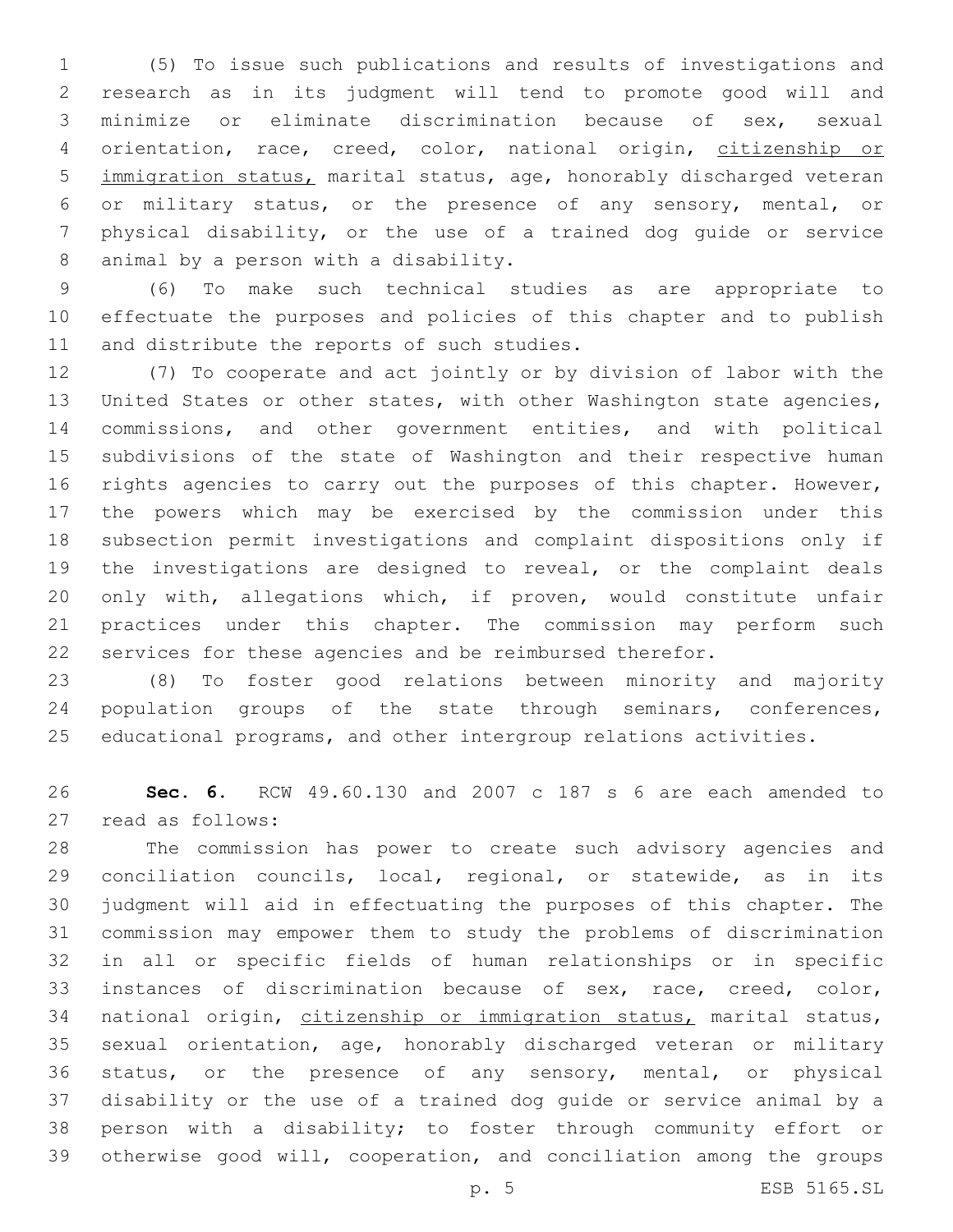(5) To issue such publications and results of investigations and research as in its judgment will tend to promote good will and minimize or eliminate discrimination because of sex, sexual orientation, race, creed, color, national origin, citizenship or immigration status, marital status, age, honorably discharged veteran or military status, or the presence of any sensory, mental, or physical disability, or the use of a trained dog guide or service 8 animal by a person with a disability.

 (6) To make such technical studies as are appropriate to effectuate the purposes and policies of this chapter and to publish 11 and distribute the reports of such studies.

 (7) To cooperate and act jointly or by division of labor with the United States or other states, with other Washington state agencies, commissions, and other government entities, and with political subdivisions of the state of Washington and their respective human rights agencies to carry out the purposes of this chapter. However, the powers which may be exercised by the commission under this subsection permit investigations and complaint dispositions only if the investigations are designed to reveal, or the complaint deals only with, allegations which, if proven, would constitute unfair practices under this chapter. The commission may perform such services for these agencies and be reimbursed therefor.

 (8) To foster good relations between minority and majority population groups of the state through seminars, conferences, educational programs, and other intergroup relations activities.

 **Sec. 6.** RCW 49.60.130 and 2007 c 187 s 6 are each amended to 27 read as follows:

 The commission has power to create such advisory agencies and conciliation councils, local, regional, or statewide, as in its judgment will aid in effectuating the purposes of this chapter. The commission may empower them to study the problems of discrimination in all or specific fields of human relationships or in specific instances of discrimination because of sex, race, creed, color, national origin, citizenship or immigration status, marital status, sexual orientation, age, honorably discharged veteran or military status, or the presence of any sensory, mental, or physical disability or the use of a trained dog guide or service animal by a person with a disability; to foster through community effort or otherwise good will, cooperation, and conciliation among the groups

p. 5 ESB 5165.SL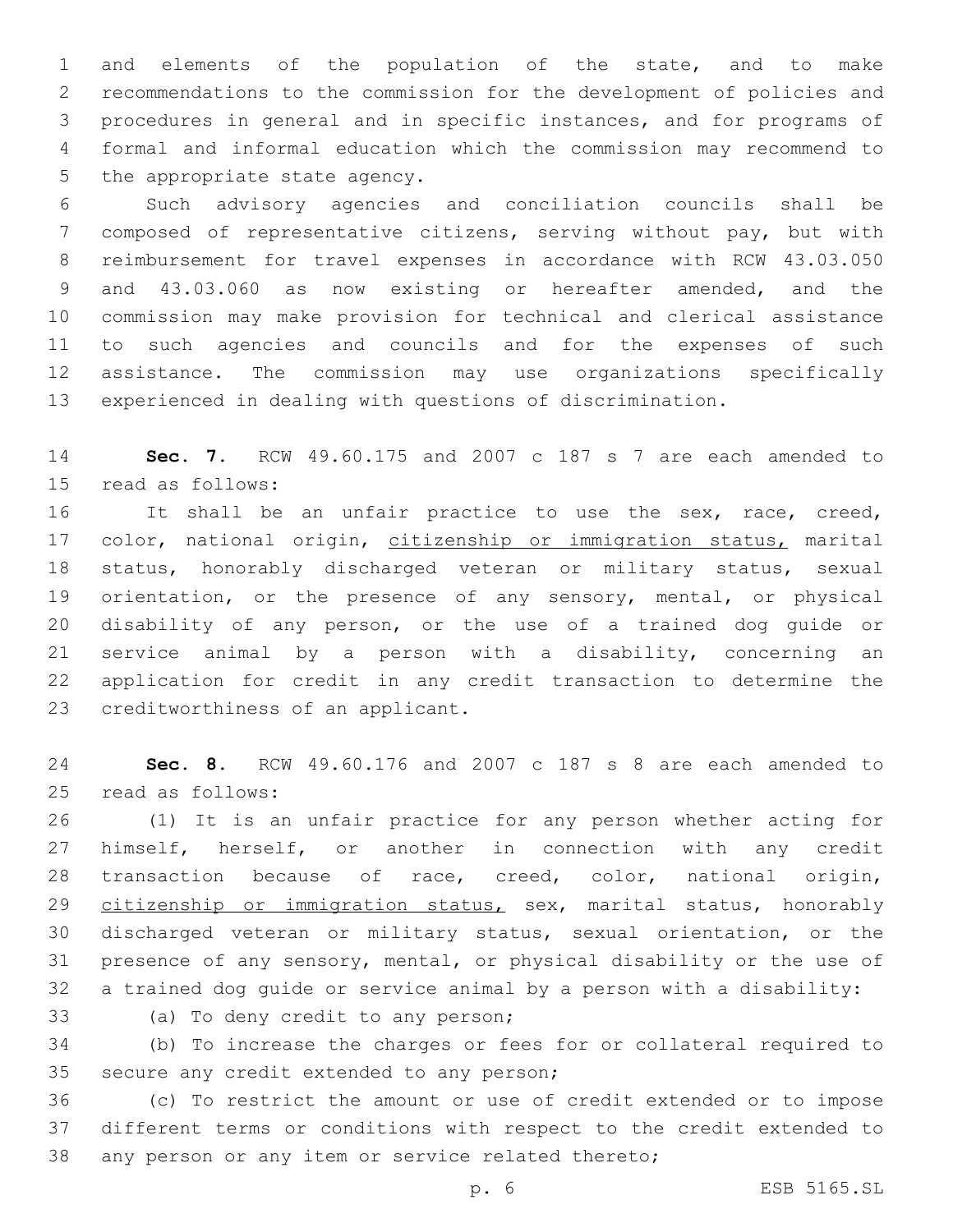and elements of the population of the state, and to make recommendations to the commission for the development of policies and procedures in general and in specific instances, and for programs of formal and informal education which the commission may recommend to 5 the appropriate state agency.

 Such advisory agencies and conciliation councils shall be composed of representative citizens, serving without pay, but with reimbursement for travel expenses in accordance with RCW 43.03.050 and 43.03.060 as now existing or hereafter amended, and the commission may make provision for technical and clerical assistance to such agencies and councils and for the expenses of such assistance. The commission may use organizations specifically experienced in dealing with questions of discrimination.

 **Sec. 7.** RCW 49.60.175 and 2007 c 187 s 7 are each amended to 15 read as follows:

 It shall be an unfair practice to use the sex, race, creed, 17 color, national origin, citizenship or immigration status, marital status, honorably discharged veteran or military status, sexual orientation, or the presence of any sensory, mental, or physical disability of any person, or the use of a trained dog guide or service animal by a person with a disability, concerning an application for credit in any credit transaction to determine the 23 creditworthiness of an applicant.

 **Sec. 8.** RCW 49.60.176 and 2007 c 187 s 8 are each amended to 25 read as follows:

 (1) It is an unfair practice for any person whether acting for himself, herself, or another in connection with any credit 28 transaction because of race, creed, color, national origin, 29 citizenship or immigration status, sex, marital status, honorably discharged veteran or military status, sexual orientation, or the presence of any sensory, mental, or physical disability or the use of a trained dog guide or service animal by a person with a disability:

33 (a) To deny credit to any person;

 (b) To increase the charges or fees for or collateral required to 35 secure any credit extended to any person;

 (c) To restrict the amount or use of credit extended or to impose different terms or conditions with respect to the credit extended to any person or any item or service related thereto;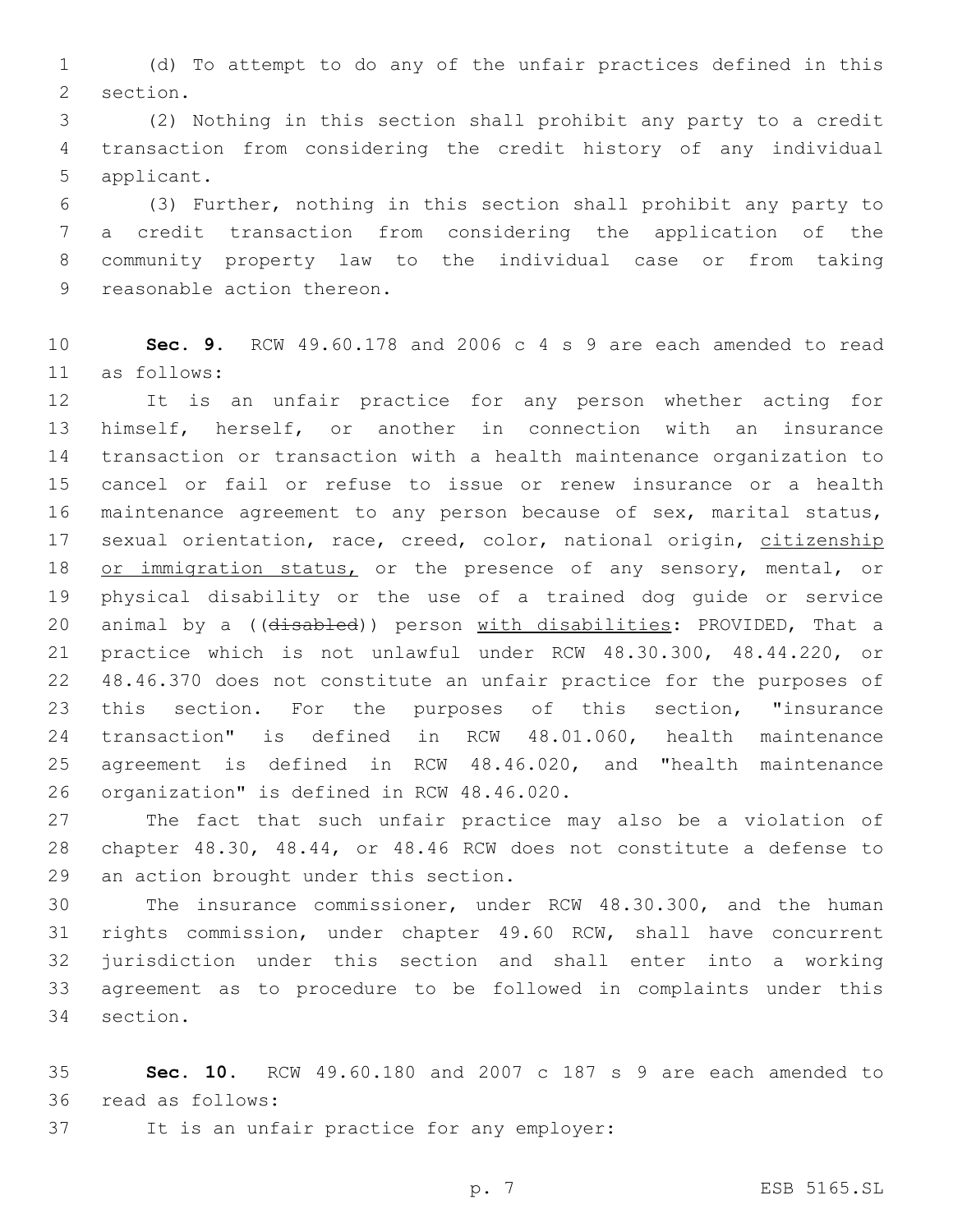(d) To attempt to do any of the unfair practices defined in this 2 section.

 (2) Nothing in this section shall prohibit any party to a credit transaction from considering the credit history of any individual 5 applicant.

 (3) Further, nothing in this section shall prohibit any party to a credit transaction from considering the application of the community property law to the individual case or from taking 9 reasonable action thereon.

 **Sec. 9.** RCW 49.60.178 and 2006 c 4 s 9 are each amended to read as follows:11

 It is an unfair practice for any person whether acting for himself, herself, or another in connection with an insurance transaction or transaction with a health maintenance organization to cancel or fail or refuse to issue or renew insurance or a health maintenance agreement to any person because of sex, marital status, 17 sexual orientation, race, creed, color, national origin, citizenship 18 or immigration status, or the presence of any sensory, mental, or physical disability or the use of a trained dog guide or service 20 animal by a ((disabled)) person with disabilities: PROVIDED, That a practice which is not unlawful under RCW 48.30.300, 48.44.220, or 48.46.370 does not constitute an unfair practice for the purposes of this section. For the purposes of this section, "insurance transaction" is defined in RCW 48.01.060, health maintenance agreement is defined in RCW 48.46.020, and "health maintenance 26 organization" is defined in RCW 48.46.020.

 The fact that such unfair practice may also be a violation of chapter 48.30, 48.44, or 48.46 RCW does not constitute a defense to 29 an action brought under this section.

 The insurance commissioner, under RCW 48.30.300, and the human rights commission, under chapter 49.60 RCW, shall have concurrent jurisdiction under this section and shall enter into a working agreement as to procedure to be followed in complaints under this 34 section.

 **Sec. 10.** RCW 49.60.180 and 2007 c 187 s 9 are each amended to read as follows:36

37 It is an unfair practice for any employer:

p. 7 ESB 5165.SL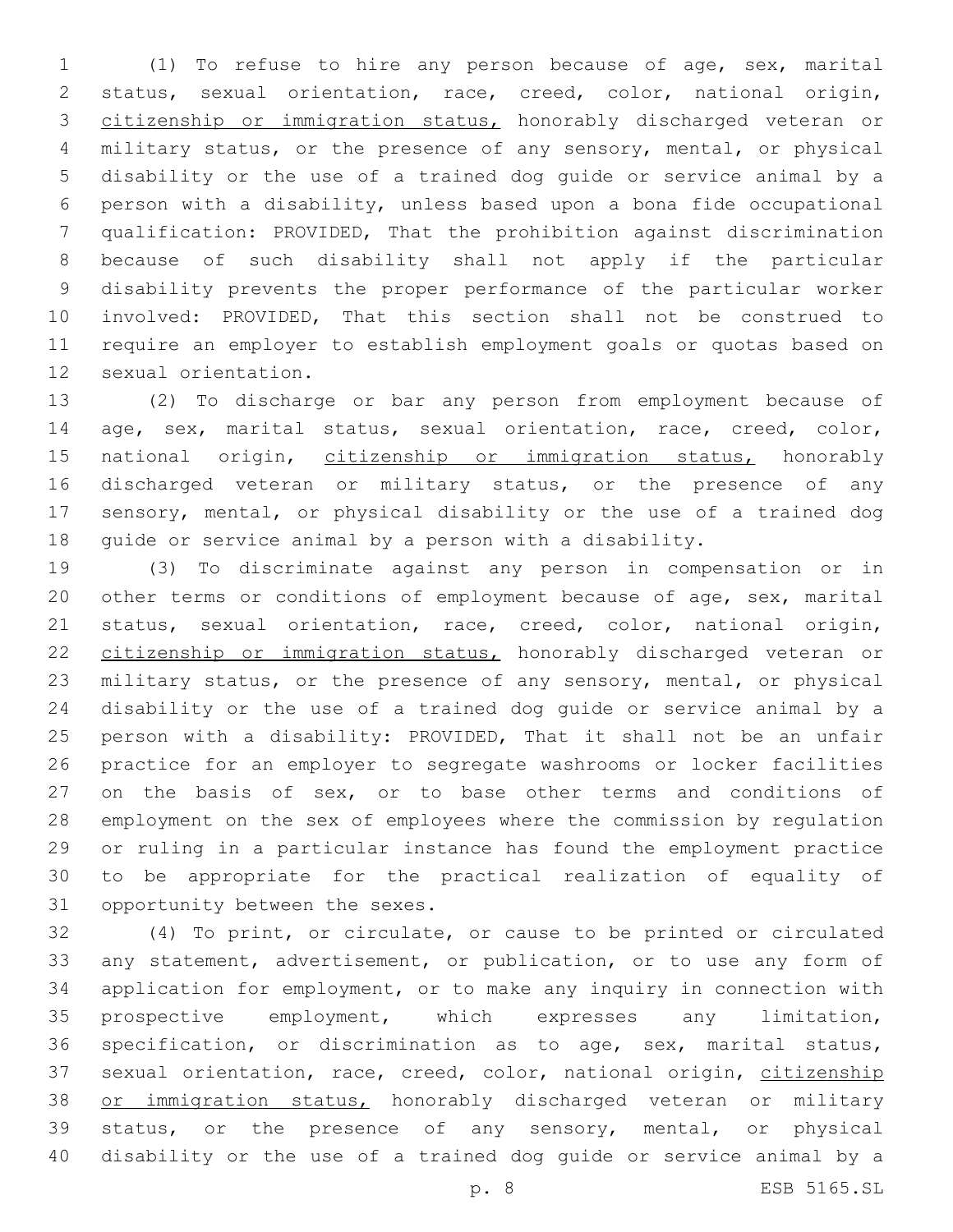(1) To refuse to hire any person because of age, sex, marital status, sexual orientation, race, creed, color, national origin, citizenship or immigration status, honorably discharged veteran or military status, or the presence of any sensory, mental, or physical disability or the use of a trained dog guide or service animal by a person with a disability, unless based upon a bona fide occupational qualification: PROVIDED, That the prohibition against discrimination because of such disability shall not apply if the particular disability prevents the proper performance of the particular worker involved: PROVIDED, That this section shall not be construed to require an employer to establish employment goals or quotas based on 12 sexual orientation.

 (2) To discharge or bar any person from employment because of age, sex, marital status, sexual orientation, race, creed, color, 15 national origin, citizenship or immigration status, honorably discharged veteran or military status, or the presence of any sensory, mental, or physical disability or the use of a trained dog guide or service animal by a person with a disability.

 (3) To discriminate against any person in compensation or in other terms or conditions of employment because of age, sex, marital status, sexual orientation, race, creed, color, national origin, 22 citizenship or immigration status, honorably discharged veteran or military status, or the presence of any sensory, mental, or physical disability or the use of a trained dog guide or service animal by a person with a disability: PROVIDED, That it shall not be an unfair practice for an employer to segregate washrooms or locker facilities 27 on the basis of sex, or to base other terms and conditions of employment on the sex of employees where the commission by regulation or ruling in a particular instance has found the employment practice to be appropriate for the practical realization of equality of 31 opportunity between the sexes.

 (4) To print, or circulate, or cause to be printed or circulated any statement, advertisement, or publication, or to use any form of application for employment, or to make any inquiry in connection with prospective employment, which expresses any limitation, specification, or discrimination as to age, sex, marital status, 37 sexual orientation, race, creed, color, national origin, citizenship 38 or immigration status, honorably discharged veteran or military status, or the presence of any sensory, mental, or physical disability or the use of a trained dog guide or service animal by a

p. 8 ESB 5165.SL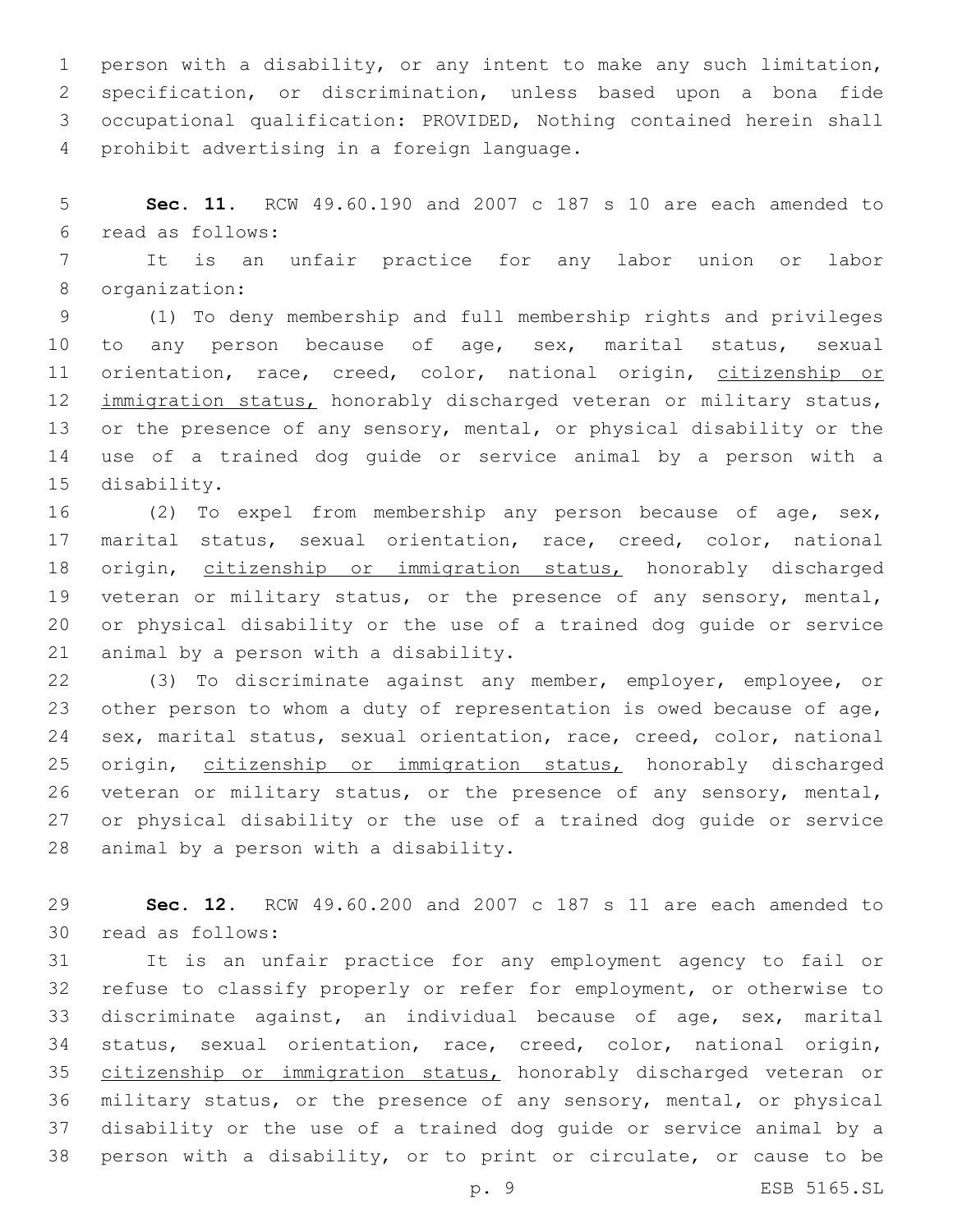person with a disability, or any intent to make any such limitation, specification, or discrimination, unless based upon a bona fide occupational qualification: PROVIDED, Nothing contained herein shall 4 prohibit advertising in a foreign language.

 **Sec. 11.** RCW 49.60.190 and 2007 c 187 s 10 are each amended to read as follows:6

 It is an unfair practice for any labor union or labor 8 organization:

 (1) To deny membership and full membership rights and privileges to any person because of age, sex, marital status, sexual 11 orientation, race, creed, color, national origin, citizenship or 12 immigration status, honorably discharged veteran or military status, or the presence of any sensory, mental, or physical disability or the use of a trained dog guide or service animal by a person with a 15 disability.

 (2) To expel from membership any person because of age, sex, marital status, sexual orientation, race, creed, color, national 18 origin, citizenship or immigration status, honorably discharged veteran or military status, or the presence of any sensory, mental, or physical disability or the use of a trained dog guide or service 21 animal by a person with a disability.

 (3) To discriminate against any member, employer, employee, or other person to whom a duty of representation is owed because of age, sex, marital status, sexual orientation, race, creed, color, national 25 origin, citizenship or immigration status, honorably discharged veteran or military status, or the presence of any sensory, mental, or physical disability or the use of a trained dog guide or service 28 animal by a person with a disability.

 **Sec. 12.** RCW 49.60.200 and 2007 c 187 s 11 are each amended to 30 read as follows:

 It is an unfair practice for any employment agency to fail or refuse to classify properly or refer for employment, or otherwise to discriminate against, an individual because of age, sex, marital status, sexual orientation, race, creed, color, national origin, citizenship or immigration status, honorably discharged veteran or military status, or the presence of any sensory, mental, or physical disability or the use of a trained dog guide or service animal by a person with a disability, or to print or circulate, or cause to be

p. 9 ESB 5165.SL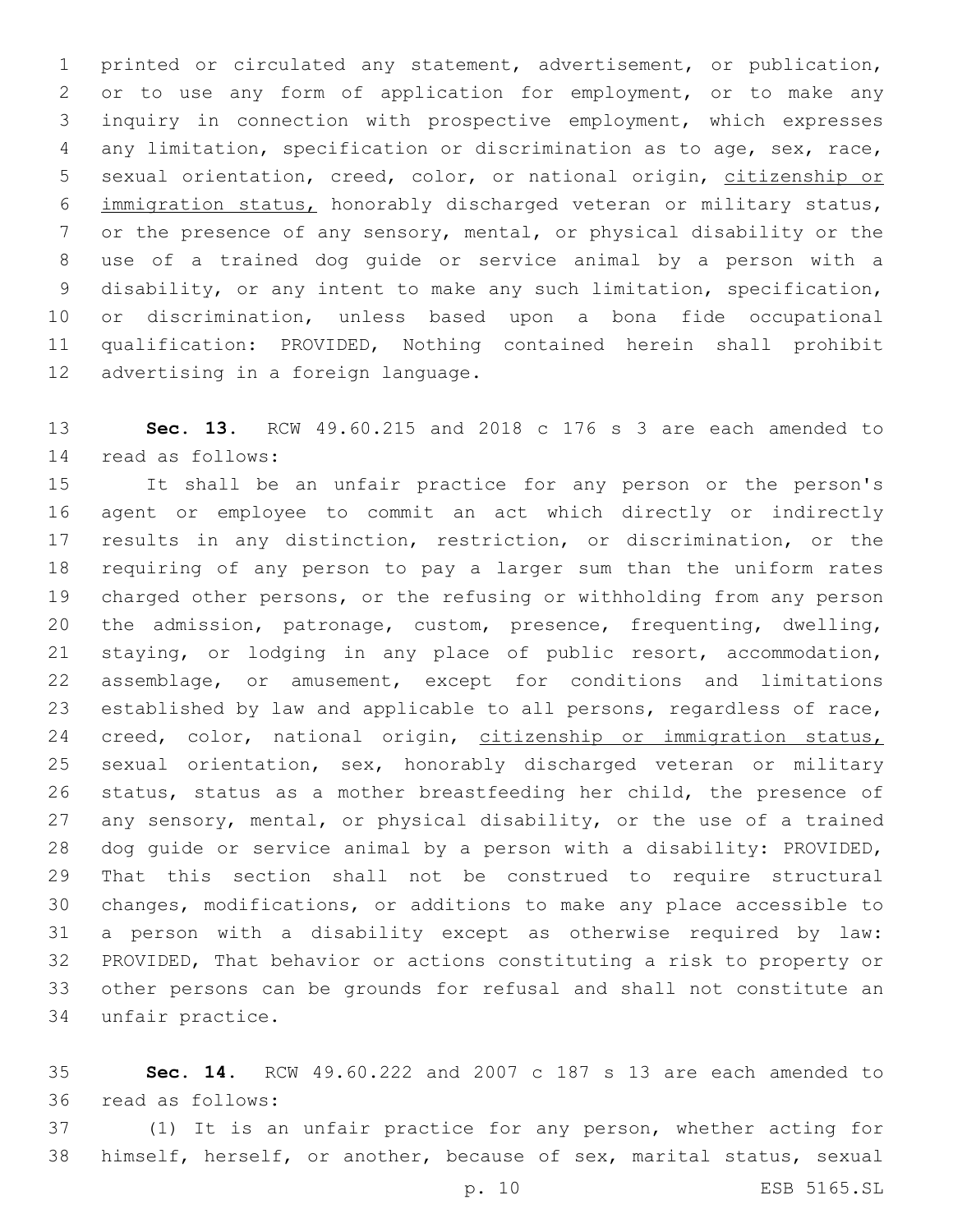printed or circulated any statement, advertisement, or publication, or to use any form of application for employment, or to make any inquiry in connection with prospective employment, which expresses any limitation, specification or discrimination as to age, sex, race, sexual orientation, creed, color, or national origin, citizenship or immigration status, honorably discharged veteran or military status, or the presence of any sensory, mental, or physical disability or the use of a trained dog guide or service animal by a person with a disability, or any intent to make any such limitation, specification, or discrimination, unless based upon a bona fide occupational qualification: PROVIDED, Nothing contained herein shall prohibit 12 advertising in a foreign language.

 **Sec. 13.** RCW 49.60.215 and 2018 c 176 s 3 are each amended to read as follows:14

 It shall be an unfair practice for any person or the person's agent or employee to commit an act which directly or indirectly results in any distinction, restriction, or discrimination, or the requiring of any person to pay a larger sum than the uniform rates charged other persons, or the refusing or withholding from any person the admission, patronage, custom, presence, frequenting, dwelling, staying, or lodging in any place of public resort, accommodation, assemblage, or amusement, except for conditions and limitations established by law and applicable to all persons, regardless of race, 24 creed, color, national origin, citizenship or immigration status, sexual orientation, sex, honorably discharged veteran or military status, status as a mother breastfeeding her child, the presence of any sensory, mental, or physical disability, or the use of a trained dog guide or service animal by a person with a disability: PROVIDED, That this section shall not be construed to require structural changes, modifications, or additions to make any place accessible to a person with a disability except as otherwise required by law: PROVIDED, That behavior or actions constituting a risk to property or other persons can be grounds for refusal and shall not constitute an 34 unfair practice.

 **Sec. 14.** RCW 49.60.222 and 2007 c 187 s 13 are each amended to 36 read as follows:

 (1) It is an unfair practice for any person, whether acting for himself, herself, or another, because of sex, marital status, sexual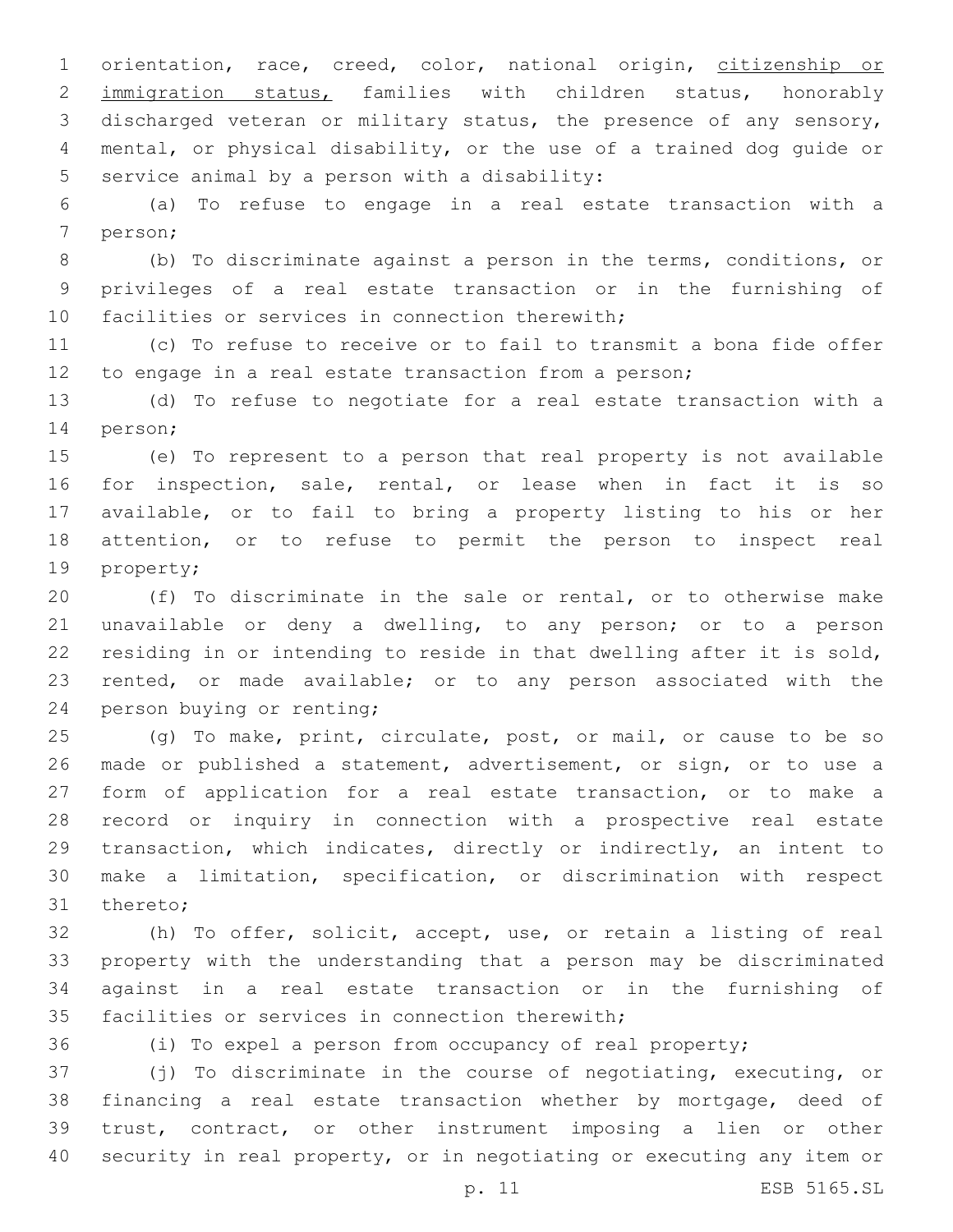orientation, race, creed, color, national origin, citizenship or immigration status, families with children status, honorably discharged veteran or military status, the presence of any sensory, mental, or physical disability, or the use of a trained dog guide or 5 service animal by a person with a disability:

 (a) To refuse to engage in a real estate transaction with a 7 person;

 (b) To discriminate against a person in the terms, conditions, or privileges of a real estate transaction or in the furnishing of 10 facilities or services in connection therewith;

 (c) To refuse to receive or to fail to transmit a bona fide offer to engage in a real estate transaction from a person;

 (d) To refuse to negotiate for a real estate transaction with a 14 person;

 (e) To represent to a person that real property is not available for inspection, sale, rental, or lease when in fact it is so available, or to fail to bring a property listing to his or her attention, or to refuse to permit the person to inspect real 19 property;

 (f) To discriminate in the sale or rental, or to otherwise make unavailable or deny a dwelling, to any person; or to a person residing in or intending to reside in that dwelling after it is sold, rented, or made available; or to any person associated with the 24 person buying or renting;

 (g) To make, print, circulate, post, or mail, or cause to be so made or published a statement, advertisement, or sign, or to use a form of application for a real estate transaction, or to make a record or inquiry in connection with a prospective real estate transaction, which indicates, directly or indirectly, an intent to make a limitation, specification, or discrimination with respect 31 thereto;

 (h) To offer, solicit, accept, use, or retain a listing of real property with the understanding that a person may be discriminated against in a real estate transaction or in the furnishing of 35 facilities or services in connection therewith;

(i) To expel a person from occupancy of real property;

 (j) To discriminate in the course of negotiating, executing, or financing a real estate transaction whether by mortgage, deed of trust, contract, or other instrument imposing a lien or other security in real property, or in negotiating or executing any item or

p. 11 ESB 5165.SL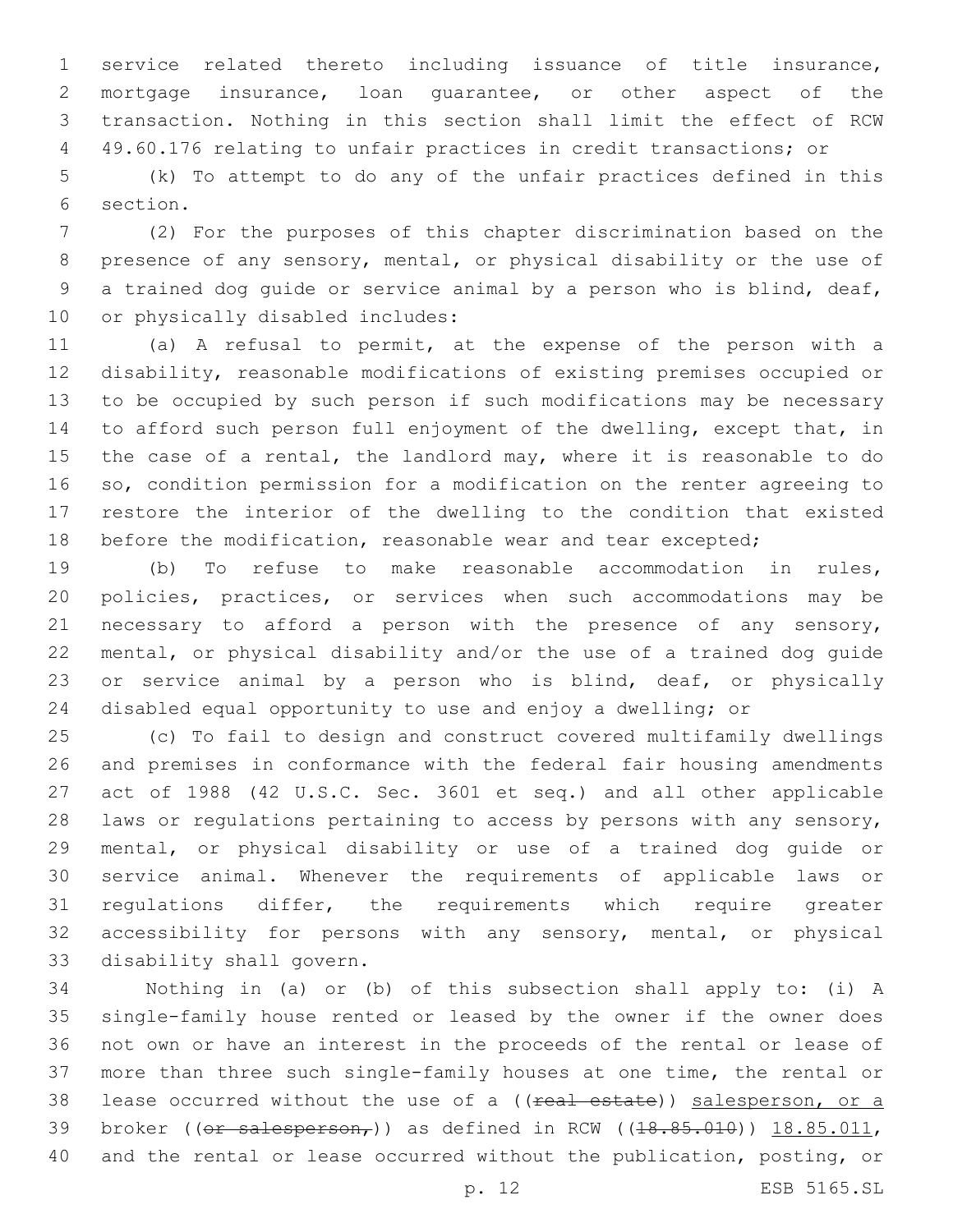service related thereto including issuance of title insurance, mortgage insurance, loan guarantee, or other aspect of the transaction. Nothing in this section shall limit the effect of RCW 49.60.176 relating to unfair practices in credit transactions; or

 (k) To attempt to do any of the unfair practices defined in this 6 section.

 (2) For the purposes of this chapter discrimination based on the presence of any sensory, mental, or physical disability or the use of a trained dog guide or service animal by a person who is blind, deaf, 10 or physically disabled includes:

 (a) A refusal to permit, at the expense of the person with a disability, reasonable modifications of existing premises occupied or to be occupied by such person if such modifications may be necessary to afford such person full enjoyment of the dwelling, except that, in the case of a rental, the landlord may, where it is reasonable to do so, condition permission for a modification on the renter agreeing to restore the interior of the dwelling to the condition that existed 18 before the modification, reasonable wear and tear excepted;

 (b) To refuse to make reasonable accommodation in rules, policies, practices, or services when such accommodations may be necessary to afford a person with the presence of any sensory, mental, or physical disability and/or the use of a trained dog guide 23 or service animal by a person who is blind, deaf, or physically disabled equal opportunity to use and enjoy a dwelling; or

 (c) To fail to design and construct covered multifamily dwellings and premises in conformance with the federal fair housing amendments act of 1988 (42 U.S.C. Sec. 3601 et seq.) and all other applicable laws or regulations pertaining to access by persons with any sensory, mental, or physical disability or use of a trained dog guide or service animal. Whenever the requirements of applicable laws or regulations differ, the requirements which require greater accessibility for persons with any sensory, mental, or physical 33 disability shall govern.

 Nothing in (a) or (b) of this subsection shall apply to: (i) A single-family house rented or leased by the owner if the owner does not own or have an interest in the proceeds of the rental or lease of more than three such single-family houses at one time, the rental or 38 lease occurred without the use of a ((real estate)) salesperson, or a 39 broker (( $or$  salesperson,)) as defined in RCW ( $(18.85.010)$ )  $18.85.011$ , and the rental or lease occurred without the publication, posting, or

p. 12 ESB 5165.SL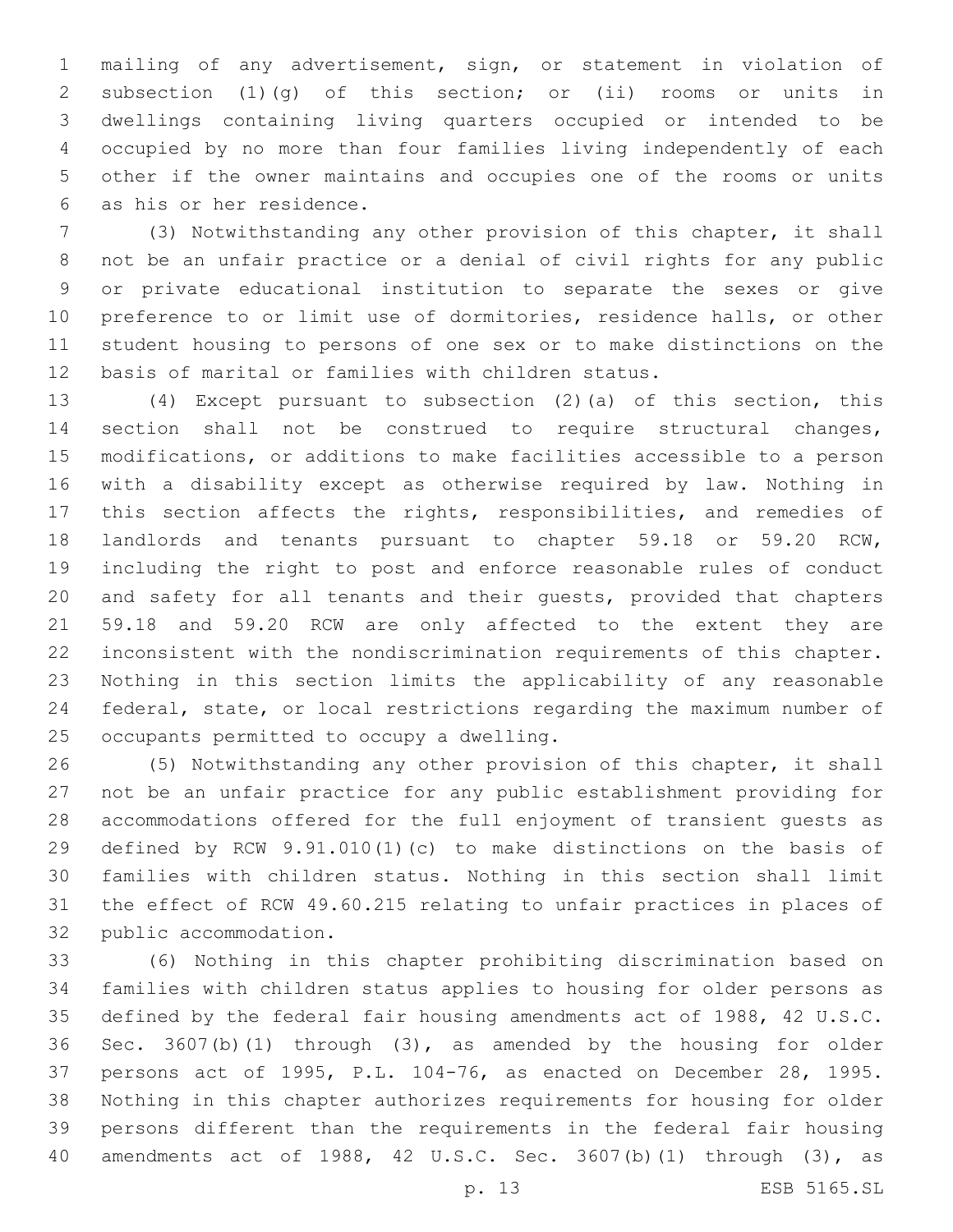mailing of any advertisement, sign, or statement in violation of subsection (1)(g) of this section; or (ii) rooms or units in dwellings containing living quarters occupied or intended to be occupied by no more than four families living independently of each other if the owner maintains and occupies one of the rooms or units 6 as his or her residence.

 (3) Notwithstanding any other provision of this chapter, it shall not be an unfair practice or a denial of civil rights for any public or private educational institution to separate the sexes or give preference to or limit use of dormitories, residence halls, or other student housing to persons of one sex or to make distinctions on the basis of marital or families with children status.

 (4) Except pursuant to subsection (2)(a) of this section, this section shall not be construed to require structural changes, modifications, or additions to make facilities accessible to a person with a disability except as otherwise required by law. Nothing in this section affects the rights, responsibilities, and remedies of landlords and tenants pursuant to chapter 59.18 or 59.20 RCW, including the right to post and enforce reasonable rules of conduct and safety for all tenants and their guests, provided that chapters 59.18 and 59.20 RCW are only affected to the extent they are inconsistent with the nondiscrimination requirements of this chapter. Nothing in this section limits the applicability of any reasonable federal, state, or local restrictions regarding the maximum number of 25 occupants permitted to occupy a dwelling.

 (5) Notwithstanding any other provision of this chapter, it shall not be an unfair practice for any public establishment providing for accommodations offered for the full enjoyment of transient guests as defined by RCW 9.91.010(1)(c) to make distinctions on the basis of families with children status. Nothing in this section shall limit the effect of RCW 49.60.215 relating to unfair practices in places of 32 public accommodation.

 (6) Nothing in this chapter prohibiting discrimination based on families with children status applies to housing for older persons as defined by the federal fair housing amendments act of 1988, 42 U.S.C. Sec. 3607(b)(1) through (3), as amended by the housing for older persons act of 1995, P.L. 104-76, as enacted on December 28, 1995. Nothing in this chapter authorizes requirements for housing for older persons different than the requirements in the federal fair housing amendments act of 1988, 42 U.S.C. Sec. 3607(b)(1) through (3), as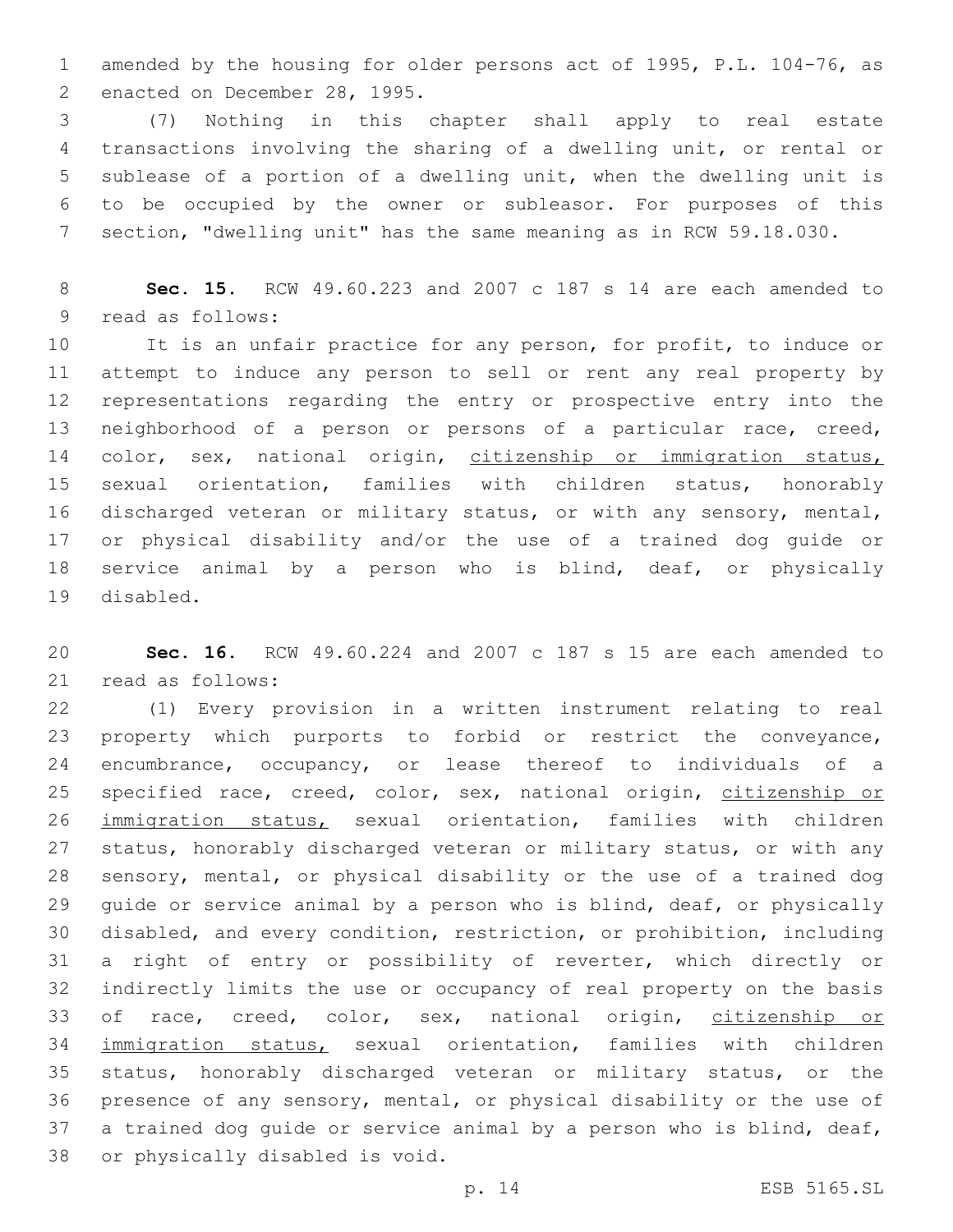amended by the housing for older persons act of 1995, P.L. 104-76, as 2 enacted on December 28, 1995.

 (7) Nothing in this chapter shall apply to real estate transactions involving the sharing of a dwelling unit, or rental or sublease of a portion of a dwelling unit, when the dwelling unit is to be occupied by the owner or subleasor. For purposes of this section, "dwelling unit" has the same meaning as in RCW 59.18.030.

 **Sec. 15.** RCW 49.60.223 and 2007 c 187 s 14 are each amended to 9 read as follows:

 It is an unfair practice for any person, for profit, to induce or attempt to induce any person to sell or rent any real property by representations regarding the entry or prospective entry into the neighborhood of a person or persons of a particular race, creed, 14 color, sex, national origin, citizenship or immigration status, sexual orientation, families with children status, honorably discharged veteran or military status, or with any sensory, mental, or physical disability and/or the use of a trained dog guide or service animal by a person who is blind, deaf, or physically 19 disabled.

 **Sec. 16.** RCW 49.60.224 and 2007 c 187 s 15 are each amended to 21 read as follows:

 (1) Every provision in a written instrument relating to real property which purports to forbid or restrict the conveyance, encumbrance, occupancy, or lease thereof to individuals of a 25 specified race, creed, color, sex, national origin, citizenship or immigration status, sexual orientation, families with children status, honorably discharged veteran or military status, or with any sensory, mental, or physical disability or the use of a trained dog guide or service animal by a person who is blind, deaf, or physically disabled, and every condition, restriction, or prohibition, including a right of entry or possibility of reverter, which directly or indirectly limits the use or occupancy of real property on the basis 33 of race, creed, color, sex, national origin, citizenship or immigration status, sexual orientation, families with children status, honorably discharged veteran or military status, or the presence of any sensory, mental, or physical disability or the use of a trained dog guide or service animal by a person who is blind, deaf, 38 or physically disabled is void.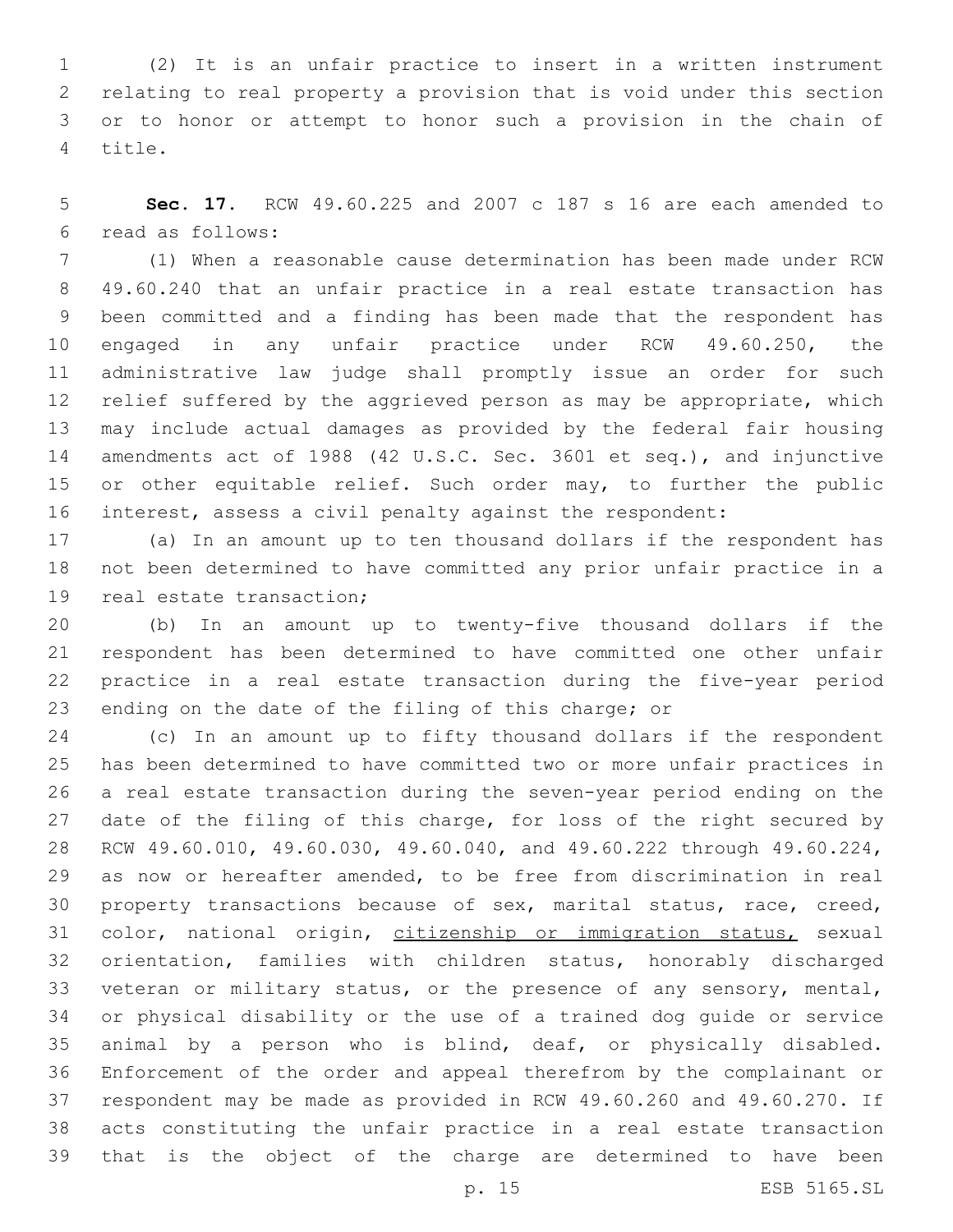(2) It is an unfair practice to insert in a written instrument relating to real property a provision that is void under this section or to honor or attempt to honor such a provision in the chain of 4 title.

 **Sec. 17.** RCW 49.60.225 and 2007 c 187 s 16 are each amended to read as follows:6

 (1) When a reasonable cause determination has been made under RCW 49.60.240 that an unfair practice in a real estate transaction has been committed and a finding has been made that the respondent has engaged in any unfair practice under RCW 49.60.250, the administrative law judge shall promptly issue an order for such relief suffered by the aggrieved person as may be appropriate, which may include actual damages as provided by the federal fair housing amendments act of 1988 (42 U.S.C. Sec. 3601 et seq.), and injunctive 15 or other equitable relief. Such order may, to further the public interest, assess a civil penalty against the respondent:

 (a) In an amount up to ten thousand dollars if the respondent has not been determined to have committed any prior unfair practice in a 19 real estate transaction;

 (b) In an amount up to twenty-five thousand dollars if the respondent has been determined to have committed one other unfair practice in a real estate transaction during the five-year period ending on the date of the filing of this charge; or

 (c) In an amount up to fifty thousand dollars if the respondent has been determined to have committed two or more unfair practices in a real estate transaction during the seven-year period ending on the 27 date of the filing of this charge, for loss of the right secured by RCW 49.60.010, 49.60.030, 49.60.040, and 49.60.222 through 49.60.224, as now or hereafter amended, to be free from discrimination in real property transactions because of sex, marital status, race, creed, 31 color, national origin, citizenship or immigration status, sexual orientation, families with children status, honorably discharged veteran or military status, or the presence of any sensory, mental, or physical disability or the use of a trained dog guide or service animal by a person who is blind, deaf, or physically disabled. Enforcement of the order and appeal therefrom by the complainant or respondent may be made as provided in RCW 49.60.260 and 49.60.270. If acts constituting the unfair practice in a real estate transaction that is the object of the charge are determined to have been